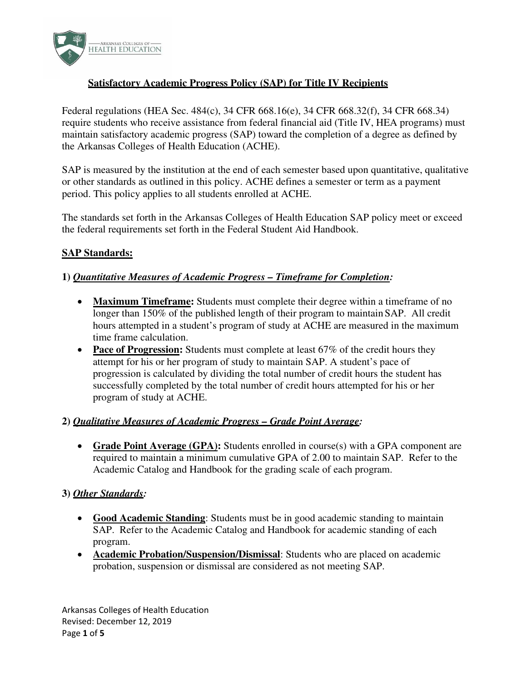

# **Satisfactory Academic Progress Policy (SAP) for Title IV Recipients**

Federal regulations (HEA Sec. 484(c), 34 CFR 668.16(e), 34 CFR 668.32(f), 34 CFR 668.34) require students who receive assistance from federal financial aid (Title IV, HEA programs) must maintain satisfactory academic progress (SAP) toward the completion of a degree as defined by the Arkansas Colleges of Health Education (ACHE).

SAP is measured by the institution at the end of each semester based upon quantitative, qualitative or other standards as outlined in this policy. ACHE defines a semester or term as a payment period. This policy applies to all students enrolled at ACHE.

The standards set forth in the Arkansas Colleges of Health Education SAP policy meet or exceed the federal requirements set forth in the Federal Student Aid Handbook.

# **SAP Standards:**

### **1)** *Quantitative Measures of Academic Progress – Timeframe for Completion:*

- **Maximum Timeframe:** Students must complete their degree within a timeframe of no longer than 150% of the published length of their program to maintain SAP. All credit hours attempted in a student's program of study at ACHE are measured in the maximum time frame calculation.
- **Pace of Progression:** Students must complete at least 67% of the credit hours they attempt for his or her program of study to maintain SAP. A student's pace of progression is calculated by dividing the total number of credit hours the student has successfully completed by the total number of credit hours attempted for his or her program of study at ACHE.

### **2)** *Qualitative Measures of Academic Progress – Grade Point Average:*

• **Grade Point Average (GPA):** Students enrolled in course(s) with a GPA component are required to maintain a minimum cumulative GPA of 2.00 to maintain SAP. Refer to the Academic Catalog and Handbook for the grading scale of each program.

### **3)** *Other Standards:*

- **Good Academic Standing**: Students must be in good academic standing to maintain SAP. Refer to the Academic Catalog and Handbook for academic standing of each program.
- **Academic Probation/Suspension/Dismissal**: Students who are placed on academic probation, suspension or dismissal are considered as not meeting SAP.

Arkansas Colleges of Health Education Revised: December 12, 2019 Page **1** of **5**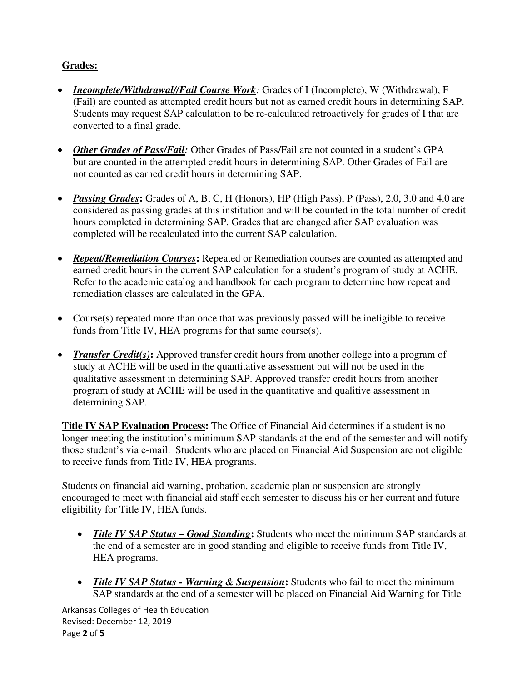# **Grades:**

- *Incomplete/Withdrawal//Fail Course Work:* Grades of I (Incomplete), W (Withdrawal), F (Fail) are counted as attempted credit hours but not as earned credit hours in determining SAP. Students may request SAP calculation to be re-calculated retroactively for grades of I that are converted to a final grade.
- *Other Grades of Pass/Fail:* Other Grades of Pass/Fail are not counted in a student's GPA but are counted in the attempted credit hours in determining SAP. Other Grades of Fail are not counted as earned credit hours in determining SAP.
- *Passing Grades***:** Grades of A, B, C, H (Honors), HP (High Pass), P (Pass), 2.0, 3.0 and 4.0 are considered as passing grades at this institution and will be counted in the total number of credit hours completed in determining SAP. Grades that are changed after SAP evaluation was completed will be recalculated into the current SAP calculation.
- *Repeat/Remediation Courses*: Repeated or Remediation courses are counted as attempted and earned credit hours in the current SAP calculation for a student's program of study at ACHE. Refer to the academic catalog and handbook for each program to determine how repeat and remediation classes are calculated in the GPA.
- Course(s) repeated more than once that was previously passed will be ineligible to receive funds from Title IV, HEA programs for that same course(s).
- *Transfer Credit(s)*: Approved transfer credit hours from another college into a program of study at ACHE will be used in the quantitative assessment but will not be used in the qualitative assessment in determining SAP. Approved transfer credit hours from another program of study at ACHE will be used in the quantitative and qualitive assessment in determining SAP.

**Title IV SAP Evaluation Process:** The Office of Financial Aid determines if a student is no longer meeting the institution's minimum SAP standards at the end of the semester and will notify those student's via e-mail. Students who are placed on Financial Aid Suspension are not eligible to receive funds from Title IV, HEA programs.

Students on financial aid warning, probation, academic plan or suspension are strongly encouraged to meet with financial aid staff each semester to discuss his or her current and future eligibility for Title IV, HEA funds.

- *Title IV SAP Status Good Standing*: Students who meet the minimum SAP standards at the end of a semester are in good standing and eligible to receive funds from Title IV, HEA programs.
- *Title IV SAP Status Warning & Suspension***:** Students who fail to meet the minimum SAP standards at the end of a semester will be placed on Financial Aid Warning for Title

Arkansas Colleges of Health Education Revised: December 12, 2019 Page **2** of **5**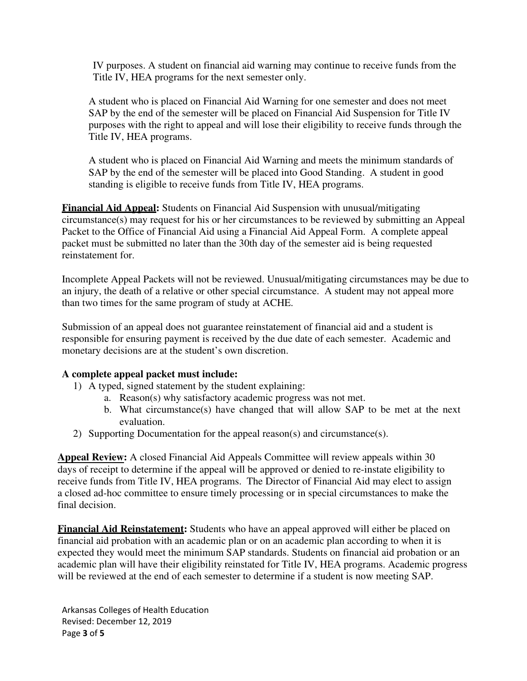IV purposes. A student on financial aid warning may continue to receive funds from the Title IV, HEA programs for the next semester only.

A student who is placed on Financial Aid Warning for one semester and does not meet SAP by the end of the semester will be placed on Financial Aid Suspension for Title IV purposes with the right to appeal and will lose their eligibility to receive funds through the Title IV, HEA programs.

A student who is placed on Financial Aid Warning and meets the minimum standards of SAP by the end of the semester will be placed into Good Standing. A student in good standing is eligible to receive funds from Title IV, HEA programs.

**Financial Aid Appeal:** Students on Financial Aid Suspension with unusual/mitigating circumstance(s) may request for his or her circumstances to be reviewed by submitting an Appeal Packet to the Office of Financial Aid using a Financial Aid Appeal Form. A complete appeal packet must be submitted no later than the 30th day of the semester aid is being requested reinstatement for.

Incomplete Appeal Packets will not be reviewed. Unusual/mitigating circumstances may be due to an injury, the death of a relative or other special circumstance. A student may not appeal more than two times for the same program of study at ACHE.

Submission of an appeal does not guarantee reinstatement of financial aid and a student is responsible for ensuring payment is received by the due date of each semester. Academic and monetary decisions are at the student's own discretion.

### **A complete appeal packet must include:**

- 1) A typed, signed statement by the student explaining:
	- a. Reason(s) why satisfactory academic progress was not met.
	- b. What circumstance(s) have changed that will allow SAP to be met at the next evaluation.
- 2) Supporting Documentation for the appeal reason(s) and circumstance(s).

**Appeal Review:** A closed Financial Aid Appeals Committee will review appeals within 30 days of receipt to determine if the appeal will be approved or denied to re-instate eligibility to receive funds from Title IV, HEA programs. The Director of Financial Aid may elect to assign a closed ad-hoc committee to ensure timely processing or in special circumstances to make the final decision.

**Financial Aid Reinstatement:** Students who have an appeal approved will either be placed on financial aid probation with an academic plan or on an academic plan according to when it is expected they would meet the minimum SAP standards. Students on financial aid probation or an academic plan will have their eligibility reinstated for Title IV, HEA programs. Academic progress will be reviewed at the end of each semester to determine if a student is now meeting SAP.

Arkansas Colleges of Health Education Revised: December 12, 2019 Page **3** of **5**